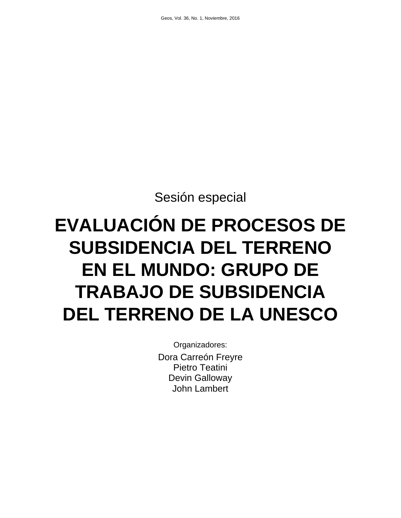Sesión especial

# **EVALUACIÓN DE PROCESOS DE SUBSIDENCIA DEL TERRENO EN EL MUNDO: GRUPO DE TRABAJO DE SUBSIDENCIA DEL TERRENO DE LA UNESCO**

Organizadores: Dora Carreón Freyre Pietro Teatini Devin Galloway John Lambert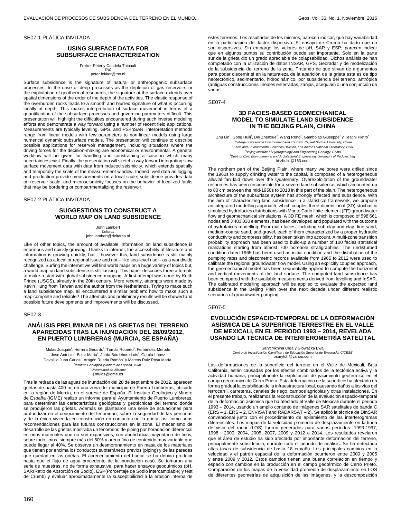#### SE07-1 PLÁTICA INVITADA

# **USING SURFACE DATA FOR SUBSURFACE CHARACTERIZATION**

Fokker Peter y Candela Thibault TNO

peter.fokker@tno.nl

Surface subsidence is the signature of natural or anthropogenic subsurface processes. In the case of deep processes as the depletion of gas reservoirs or the exploitation of geothermal resources, the signature at the surface extends over spatial dimensions of the order of the depth of the activities. The elastic response of the overburden rocks leads to a smooth and blurred signature of what is occurring locally at depth. This makes interpretation of surface movement in terms of a quantification of the subsurface processes and governing parameters difficult. This presentation will highlight the difficulties encountered during such inverse modeling efforts and demonstrate a way forward using a number of recent field applications. Measurements are typically leveling, GPS, and PS-InSAR; interpretation methods range from linear models with few parameters to non-linear models using large numerical dynamic subsurface models. The presentation will continue to describe possible applications for reservoir management, including situations where the driving forces for the decision-making are economical or environmental. A general workflow will be given for handling and constraining a case in which many uncertainties exist. Finally, the presentation will sketch a way forward integrating slow surface movement data with data from induced seismicity, which extends spatially and temporally the scale of the measurement window. Indeed, well data as logging and production provide measurements on a local scale; subsidence provides data on reservoir scale; and microseismicity focuses on the behavior of localized faults that may be bordering or compartmentalizing the reservoir.

#### SE07-2 PLÁTICA INVITADA

## **SUGGESTIONS TO CONSTRUCT A WORLD MAP ON LAND SUBSIDENCE**

John Lambert Deltares john.lambert@deltares.nl

Like of other topics, the amount of available information on land subsidence is enormous and quickly growing. Thanks to internet, the accessibility of literature and information is growing quickly, but – however this, land subsidence is still mainly recognized as a local or regional issue and not – like sea-level rise – as a worldwide challenge. Surfing the internet we will find world maps on a huge variety of topics but, a world map on land subsidence is still lacking. This paper describes three attempts to make a start with global subsidence mapping. A first attempt was done by Keith Prince (USGS), already in the 20th century. More recently, attempts were made by Kevin Hung from Taiwan and the author from the Netherlands. Trying to make such a land subsidence map, all encountered a similar problem: how to make such a map complete and reliable? The attempts and preliminary results will be showed and possible future developments and improvements will be discussed.

#### SE07-3

## **ANÁLISIS PRELIMINAR DE LAS GRIETAS DEL TERRENO APARECIDAS TRAS LA INUNDACIÓN DEL 28/09/2012, EN PUERTO LUMBRERAS (MURCIA, SE ESPAÑA)**

Mulas Joaquin<sup>1</sup>, Herrera Gerardo<sup>1</sup>, Tomás Roberto<sup>2</sup>, Fernández-Merodo Jose Antonio<sup>1</sup>, Bejar Marta<sup>1</sup>, Jorda Bordehore Luis<sup>1</sup>, García-López Davalillo Juan Carlos<sup>1</sup>, Aragón Rueda Ramón<sup>1</sup> y Mateos Ruiz Rosa María<sup>1</sup> <sup>1</sup>Instituto Geológico y Minero de España, IGME<br><sup>2</sup>Universidad de Alicante

j.mulas@igme.es

Tras la retirada de las aguas de inundación del 28 de septiembre de 2012, aparecen grietas de hasta 400 m, en una zona del municipio de Puerto Lumbreras, ubicado en la región de Murcia, en el sureste de España. El Instituto Geológico y Minero de España (IGME) realizó un informe para el Ayuntamiento de Puerto Lumbreras, para determinar las características geológicas y geotécnicas del terreno donde se produjeron las grietas. Además se plantearon una serie de actuaciones para profundizar en el conocimiento del fenómeno, sobre la seguridad de las personas y de la única vivienda en construcción en contacto con la grieta, así como unas recomendaciones para las futuras construcciones en la zona. El mecanismo de desarrollo de las grietas mostraba un fenómeno de piping por horadación diferencial en unos materiales que no son expansivos, con abundancia mayoritaria de finos, sobre todo limos, siempre más del 50% y arena fina de contenido muy variable que puede llegar al 40%. Se observa un desmoronamiento en masa de los materiales que tienen por encima los conductos subterráneos previos (piping) y de las paredes que quedan en las grietas. El acrecentamiento del hueco se ha debido producir hasta que el flujo de agua procedente de la inundación cesó. Se tomaron una serie de muestras, no de forma exhaustiva, para hacer ensayos geoquímicos (pH, SAR(Ratio de Absorción de Sodio), ESP(Porcentaje de Sodio intercambiable) y test de Crumb) y evaluar aproximadamente la susceptibilidad a la erosión interna de

estos terrenos. Los resultados de los mismos, parecen indicar, que hay variabilidad en la participación del factor dispersivo. El ensayo de Crumb ha dado que no son dispersivos. Sin embargo los valores de pH, SAR y ESP; parecen indicar que en algunos puntos su contribución puede ser importante. Solo en la parte sur de la grieta dio un grado apreciable de colapsabilidad. Dichos análisis se han completado con la utilización de datos INSAR, GPS, Georadar y de modelización de la subsidencia del terreno de la zona. Tratando de que sirvan de argumentos para poder discernir si en la naturaleza de la aparición de la grieta esta es de tipo neotectónico, sedimentarío, hidrodinámico, por subsidencia del terreno, antrópica (antiguas construcciones lineales enterradas, zanjas, acequias) o una conjunción de varios.

SE07-4

## **3D FACIES-BASED GEOMECHANICAL MODEL TO SIMULATE LAND SUBSIDENCE IN THE BEIJING PLAIN, CHINA**

Zhu Lin<sup>1</sup>, Gong Huili<sup>1</sup>, Dai Zhenxue<sup>2</sup>, Wang Rong<sup>3</sup>, Gambolati Giuseppe<sup>4</sup> y Teatini Pietro<sup>4</sup> <sup>1</sup>College of Resource Environment and Tourism, Capital Normal University, China<br><sup>2</sup>Earth and Environmental Sciences Division, Los Alamos National Laboratory, USA <sup>3</sup> Beijing Institute of Hydrogeology and Engineering Geology, China <sup>4</sup>Dept. of Civil, Environmental and Architectural Engineering, University of Padova, Italy hi-zhulin@163.com

The northern part of the Beijing Plain, where many wellbores were drilled since the 1960s to supply drinking water to the capital, is composed of a heterogeneous alluvial fan laid down over the Quaternary. Overexploitation of the groundwater resources has been responsible for a severe land subsidence, which amounted up to 80 cm between the mid-1950s to 2013 in this part of the plain. The heterogeneous architecture of the subsurface system has strongly affected land subsidence. With the aim of characterizing land subsidence in a statistical framework, we propose an integrated modelling approach, which couples three-dimensional (3D) stochastic simulated hydrofacies distributions with Monte Carlo finite-element (FE) groundwater flow and geomechanical simulations. A 3D FE mesh, which is composed of 598'661 nodes and 3'483'030 elements, has been developed and populated with the outcome of hydrofaices modelling. Four main facies, including sub-clay and clay, fine sand, medium-coarse sand, and gravel, each of them characterized by a proper hydraulic conductivity and compressibility, has been taken into account. A multi-zone transition probability approach has been used to build-up a number of 100 facies statistical realizations starting from almost 700 borehole stratigraphies. The undisturbed condition dated 1965 has been used as initial condition and the distribution of the pumping rates and piezometric records available from 1965 to 2012 were used to calibrate the regional groundwater flow model. Using an explicitly coupled approach, the geomechanical model has been sequentially applied to compute the horizontal and vertical movements of the land surface. The computed land subsidence has been compared with the available measurements derived from levelling and InSAR. The calibrated modelling approach will be applied to evaluate the expected land subsidence in the Beijing Plain over the next decade under different realistic scenarios of groundwater pumping.

#### SE07-5

## **EVOLUCIÓN ESPACIO-TEMPORAL DE LA DEFORMACIÓN ASÍSMICA DE LA SUPERFICIE TERRESTRE EN EL VALLE DE MEXICALI, EN EL PERIODO 1993 – 2014, REVELADA USANDO LA TÉCNICA DE INTERFEROMETRÍA SATELITAL**

Sarychikhina Olga y Glowacka Ewa Centro de Investigación Científica y de Educación Superior de Ensenada, CICESE osarytch@yahoo.com

Las deformaciones de la superficie del terreno en el Valle de Mexicali, Baja California, están causadas por los efectos combinados de la tectónica activa y la actividad humana, principalmente la explotación de yacimiento geotérmico en el campo geotérmico de Cerro Prieto. Esta deformación de la superficie ha afectado en forma gradual la estabilidad de la infraestructura local, causando daños a las vías del ferrocarril, carreteras, canales de riego, campos agrícolas y otras instalaciones. En el presente trabajo, realizamos la reconstrucción de la evaluación espacio-temporal de la deformación asísmica que ha afectado el Valle de Mexicali durante el periodo 1993 – 2014, usando un amplio conjunto de imágenes SAR satelitales de banda C (ERS – 1, ERS – 2, ENVISAT and RADARSAT – 2). Se aplicó la técnica de DInSAR convencional junto con el procedimiento de apilamiento de las interferogramas diferenciales. Los mapas de la velocidad promedio de desplazamiento en la línea de vista del radar (LOS) fueron generados para varios períodos: 1993-1997, 1998 - 2000, 2004, 2005, 2007, 2009 y 2012 a 2014. Los resultados revelaron que el área de estudio ha sido afectada por importante deformación del terreno, principalmente subsidencia, durante todo el periodo de análisis. Se ha detectado altas tasas de subsidencia de hasta 18 cm/año. Los principales cambios en la velocidad y el patrón espacial de la deformación ocurrieron entre 2000 y 2005 y entre 2009 y 2012. Estos cambios tienen una buena correlación en tiempo y espacio con cambios en la producción en el campo geotérmico de Cerro Prieto. Comparación de los mapas de la velocidad promedio de desplazamiento en LOS de diferentes geometrías de adquisición de las imágenes, y la descomposición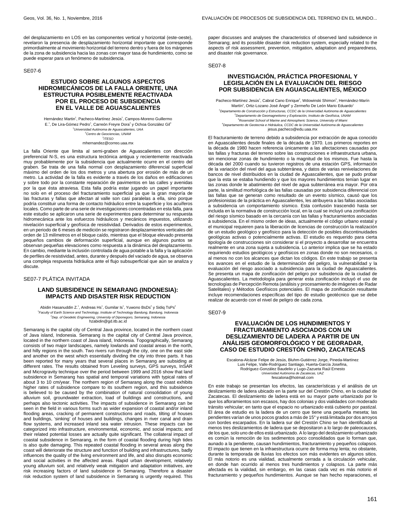del desplazamiento en LOS en las componentes vertical y horizontal (este-oeste), revelaron la presencia de desplazamiento horizontal importante que corresponde primordialmente al movimiento horizontal del terreno dentro y fuera de los márgenes de la zona de subsidencia hacia las zonas con mayor tasa de hundimiento, como se puede esperar para un fenómeno de subsidencia.

#### SE07-6

# **ESTUDIO SOBRE ALGUNOS ASPECTOS HIDROMECÁNICOS DE LA FALLA ORIENTE, UNA ESTRUCTURA POSIBLEMENTE REACTIVADA POR EL PROCESO DE SUBSIDENCIA EN EL VALLE DE AGUASCALIENTES**

Hernández Martin<sup>1</sup>, Pacheco-Martínez Jesús<sup>1</sup>, Campos-Moreno Guillermo E.<sup>1</sup>, De Lira-Gómez Pedro<sup>1</sup>, Carreón Freyre Dora<sup>2</sup> y Ochoa González Gil<sup>3</sup> <sup>1</sup>Universidad Autónoma de Aguascalientes, UAA <sup>2</sup>Centro de Geociencias, UNAM  $3$ ITESO mhernandez@correo.uaa.mx

La falla Oriente que limita al semi-graben de Aguascalientes con dirección preferencial N-S, es una estructura tectónica antigua y recientemente reactivada muy probablemente por la subsidencia que actualmente ocurre en el centro del graben. Se trata de una falla normal con desplazamiento diferencial superficial máximo del orden de los dos metros y una abertura por erosión de más de un metro. La actividad de la falla es evidente a través de los daños en edificaciones y sobre todo por la constante reparación de pavimentos en las calles y avenidas por la que ésta atraviesa. Esta falla podría estar jugando un papel importante no solo en el proceso del fracturamiento superficial ya que la gran mayoría de las fracturas y fallas que afectan al valle son casi paralelas a ella, sino porque podría constituir una forma de contacto hidráulico entre la superficie y los acuíferos locales. Como parte de una serie de investigaciones concentradas en esta falla, para este estudio se aplicaron una serie de experimentos para determinar su respuesta hidromecánica ante los esfuerzos hidráulicos y mecánicos impuestos, utilizando nivelación superficial y geofísica de resistividad. Derivados de estos experimentos, en un periodo de 6 meses de medición se registraron desplazamientos verticales del orden de 13 milímetros en el bloque caído, mientras que el bloque elevado presenta pequeños cambios de deformación superficial, aunque en algunos puntos se observan pequeñas elevaciones como respuesta a la dinámica del desplazamiento. En cambio, mediante la inclusión controlada de agua potable a la falla y la aplicación de perfiles de resistividad, antes, durante y después del vaciado de agua, se observa una compleja respuesta hidráulica ante el flujo subsuperficial que aún se analiza y discute.

#### SE07-7 PLÁTICA INVITADA

## **LAND SUBSIDENCE IN SEMARANG (INDONESIA): IMPACTS AND DISASTER RISK REDUCTION**

Abidin Hasanuddin Z.<sup>1</sup>, Andreas Hs<sup>1</sup>, Gumilar Is<sup>1</sup>, Yuwono BsDs<sup>2</sup> y Sidiq TsPs<sup>2</sup> <sup>1</sup> Faculty of Earth Science and Technology, Institute of Technology Bandung, Bandung, Indonesia  $^{2}$ Dep. of Geodetic Engineering, University of Diponegoro, Semarang, Indonesia hzabidin@gd.itb.ac.id

Semarang is the capital city of Central Java province, located in the northern coast of Java island, Indonesia. Semarang is the capital city of Central Java province, located in the northern coast of Java island, Indonesia. Topographically, Semarang consists of two major landscapes, namely lowlands and coastal areas in the north, and hilly regions in the south. Two rivers run through the city, one on the east side and another on the west which essentially dividing the city into three parts. It has been reported for many years that several places in Semarang are subsiding at different rates. The results obtained from Leveling surveys, GPS surveys, InSAR and Microgravity technique over the period between 1999 and 2016 show that land subsidence in Semarang has spatial and temporal variations with typical rates of about 3 to 10 cm/year. The northern region of Semarang along the coast exhibits higher rates of subsidence compare to its southern region, and this subsidence is believed to be caused by the combination of natural consolidation of young alluvium soil, groundwater extraction, load of buildings and constructions, and perhaps also tectonic activities. The impacts of subsidence in Semarang can be seen in the field in various forms such as wider expansion of coastal and/or inland flooding areas, cracking of permanent constructions and roads, tilting of houses and buildings, 'sinking' of houses and buildings, changes in river canal and drain flow systems, and increased inland sea water intrusion. These impacts can be categorized into infrastructure, environmental, economic, and social impacts; and their related potential losses are actually quite significant. The collateral impact of coastal subsidence in Semarang, in the form of coastal flooding during high tides is also quite damaging. This repeated coastal flooding in several areas along the coast will deteriorate the structure and function of building and infrastructures, badly influences the quality of the living environment and life, and also disrupts economic and social activities in the affected areas. Rapid urban development, relatively young alluvium soil, and relatively weak mitigation and adaptation initiatives, are risk increasing factors of land subsidence in Semarang. Therefore a disaster risk reduction system of land subsidence in Semarang is urgently required. This

paper discusses and analyses the characteristics of observed land subsidence in Semarang; and its possible disaster risk reduction system, especially related to the aspects of risk assessment, prevention, mitigation, adaptation and preparedness, and disaster risk governance.

SE07-8

# **INVESTIGACIÓN, PRÁCTICA PROFESIONAL Y LEGISLACIÓN EN LA EVALUACIÓN DEL RIESGO POR SUBSIDENCIA EN AGUASCALIENTES, MÉXICO**

Pacheco-Martínez Jesús<sup>1</sup>, Cabral Cano Enrique<sup>2</sup>, Wdowinski Shimon<sup>3</sup>, Hernández-Marín Martín<sup>4</sup>, Ortiz-Lozano José Ángel<sup>1</sup> y Zermeño De León Mario Eduardo<sup>1</sup> <sup>1</sup>Departamento de Construcción y Estructuras, CCDC de la Universidad Autónoma de Aguascalientes <sup>2</sup>Departamento de Geomagnetismo y Exploración, Instituto de Geofísica, UNAM <sup>3</sup>Rosenstiel School of Marine and Atmospheric Science, University of Miami <sup>4</sup>Departamento de Geotecnia e Hidráulica, CCDC de la Universidad Autónoma de Aguascalientes jesus.pacheco@edu.uaa.mx

El fracturamiento de terreno debido a subsidencia por extracción de agua conocido en Aguascalientes desde finales de la década de 1970. Los primeros reportes en la década de 1980 hacen referencia únicamente a las afectaciones causadas por las fallas y fracturas del terreno sobre las construcciones e infraestructura urbana, sin mencionar zonas de hundimiento o la magnitud de los mismos. Fue hasta la década del 2000 cuando su tuvieron registros de una estación GPS, información de la variación del nivel del agua subterránea, y datos de varias renivelaciones de bancos de nivel distribuidos en la ciudad de Aguascalientes, que se pudo probar que la esta se estaba hundiendo y que los mayores hundimientos tenían lugar en las zonas donde le abatimiento del nivel de agua subterránea era mayor. Por otra parte, la similitud morfológica de las fallas causadas por subsidencia diferencial con las fallas que se generan como resultado de un evento sísmico, causó que los profesionistas de la práctica en Aguascalientes, les atribuyera a las fallas asociadas a subsidencia un comportamiento sísmico. Esta confusión trascendió hasta ser incluida en la normativa de construcción local, en la cual se incluyó una zonificación del riesgo sísmico basado en la cercanía con las fallas y fracturamientos asociadas a subsidencia. En el mismo orden de ideas, actualmente el código urbano estatal y el municipal requieren para la liberación de licencias de construcción la realización de un estudio geológico y geofísico para la detección de posibles discontinuidades geológicas activas o potencialmente activas. El estudio es requerido para cierta tipología de construcciones sin considerar si el proyecto a desarrollar se encuentra realmente en una zona sujeta a subsidencia. Lo anterior implica que se ha estado requiriendo estudios geológicos y geofísicos en zonas donde no son necesarios, o al menos no con los alcances que dictan los códigos. En este trabajo se presenta los avances en el estudio de la determinación del peligro, la vulnerabilidad y la evaluación del riesgo asociado a subsidencia para la ciudad de Aguascalientes. Se presenta un mapa de zonificación del peligro por subsidencia de la ciudad de Aguascalientes. La metodología para generar esta zonificación incluyó el uso de tecnologías de Percepción Remota (análisis y procesamiento de imágenes de Radar Satelitales) y Métodos Geofísicos potenciales. El mapa de zonificación resultante incluye recomendaciones específicas del tipo de estudio geotécnico que se debe realizar de acuerdo con el nivel de peligro de cada zona.

#### SE07-9

# **EVALUACIÓN DE LOS HUNDIMIENTOS Y FRACTURAMIENTO ASOCIADOS CON UN DESLIZAMIENTO DE LADERA A PARTIR DE UN ANÁLISIS GEOMORFOLÓGICO Y DE GEORADAR, CASO DE ESTUDIO CRESTÓN CHINO, ZACATECAS**

Escalona-Alcázar Felipe de Jesús, Bluhm-Gutiérrez Jorge, Pineda-Martínez Luis Felipe, Valle-Rodríguez Santiago, Huerta-García Josefina, Rodríguez-González Baudelio y Lugo-Zazueta Raúl Ernesto Universidad Autónoma de Zacatecas, UAZ fescalona@hotmail.com

En este trabajo se presentan los efectos, las características y el análisis de un deslizamiento de ladera ubicado en la parte sur del Crestón Chino, en la ciudad de Zacatecas. El deslizamiento de ladera está en su mayor parte urbanizado por lo que los afloramientos son escasos, hay dos colonias y dos vialidades con moderado tránsito vehicular; en tanto que el espacio no urbanizado está cubierto por pastizal. El área de estudio es la ladera de un cerro que tiene una pequeña meseta; las pendientes varían de unos pocos grados a más de 15° y está limitada por dos arroyos con bordes escarpados. En la ladera sur del Crestón Chino se han identificado al menos tres deslizamientos de ladera que se depositaron a lo largo de paleocauces, de los que, solo uno de ellos está urbanizado. A lo largo del deslizamiento urbanizado es común la remoción de los sedimentos poco consolidados que lo forman que, aunado a la pendiente, causan hundimientos, fracturamiento y pequeños colapsos. El impacto que tienen en la infraestructura ocurre de forma muy lenta; no obstante, durante la temporada de lluvias los efectos son más evidentes en algunos sitios. El más notorio es una vialidad, actualmente cerrada a la circulación vehicular, en donde han ocurrido al menos tres hundimientos y colapsos. La parte más afectada es la vialidad, sin embargo, en las casas cada vez es más notorio el fracturamiento y pequeños hundimientos. Aunque se han hecho reparaciones, el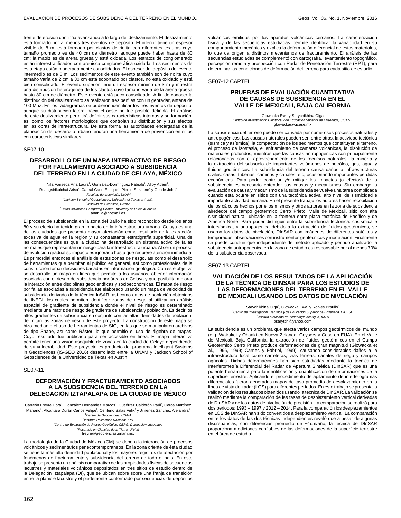frente de erosión continúa avanzando a lo largo del deslizamiento. El deslizamiento está formado por al menos tres eventos de depósito. El inferior tiene un espesor visible de 8 m, está formado por clastos de riolita con diferentes texturas cuyo tamaño promedio es de 40 cm de diámetro, aunque puede haber hasta de 80 cm; la matriz es de arena gruesa y está oxidada. Los estratos de conglomerado están interestratificados con arenisca conglomerática oxidada. Los sedimentos de esta etapa están moderadamente consolidados. El espesor del depósito del evento intermedio es de 5 m. Los sedimentos de este evento también son de riolita cuyo tamaño varía de 2 cm a 30 cm está soportado por clastos, no está oxidado y está bien consolidado. El evento superior tiene un espesor mínimo de 3 m y muestra una distribución heterogénea de los clastos cuyo tamaño varía de la arena gruesa hasta 80 cm de diámetro. Este evento está poco consolidado. A fin de conocer la distribución del deslizamiento se realizaron tres perfiles con un georadar, antena de 100 Mhz. En los radargramas se pudieron identificar los tres eventos de depósito, aunque su distribución lateral hacia el oeste no fue posible definirla. El análisis de este deslizamiento permitirá definir sus características internas y su formación, así como los factores morfológicos que controlan su distribución y sus efectos en las obras de infraestructura. De esta forma las autoridades encargadas de la planeación del desarrollo urbano tendrán una herramienta de prevención en sitios con características similares.

SE07-10

## **DESARROLLO DE UN MAPA INTERACTIVO DE RIESGO FOR FALLAMIENTO ASOCIADO A SUBSIDENCIA DEL TERRENO EN LA CIUDAD DE CELAYA, MÉXICO**

Nila Fonseca Ana Laura<sup>1</sup>, González-Domínguez Fabiola<sup>1</sup>, Alloy Adam<sup>2</sup>, Ruangsirikulchai Arisa<sup>2</sup>, Cabral Cano Enrique<sup>3</sup>, Pierce Suzanne<sup>4</sup> y Gentle John<sup>4</sup> 1 Facultad de Ingeniería, UNAM  $^{2}$ Jackson School of Geosciences, University of Texas at Austin 3 Instituto de Geofísica, UNAM 4 Texas Advanced Computing Center, University of Texas at Austin ananila@hotmail.es

El proceso de subsidencia en la zona del Bajío ha sido reconocido desde los años 80 y su efecto ha tenido gran impacto en la infraestructura urbana. Celaya es una de las ciudades que presenta mayor afectación como resultado de la extracción excesiva de agua en la región y su contrastante estratigrafía superficial. Una de las consecuencias es que la ciudad ha desarrollado un sistema activo de fallas normales que representan un riesgo para la infraestructura urbana. Al ser un proceso de evolución gradual su impacto es ignorado hasta que requiere atención inmediata. Es primordial entonces el análisis de estas zonas de riesgo, así como el desarrollo de herramientas que permitan al público en general, así como profesionales de la construcción tomar decisiones basadas en información geológica. Con este objetivo se desarrolló un mapa en línea que permite a los usuarios, obtener información asociada con el riesgo de subsidencia por áreas en Celaya y que posibilita mejorar la interacción entre disciplinas geocientíficas y socioeconómicas. El mapa de riesgo por fallas asociadas a subsidencia fue elaborado usando un mapa de velocidad de subsidencia derivado de la técnica InSAR, así como datos de población obtenidos de INEGI; los cuales permiten identificar zonas de riesgo al utilizar un análisis espacial de gradiente de subsidencia donde el nivel de riesgo es determinado mediante una matriz de riesgo de gradiente de subsidencia y población. Es decir los altos gradientes de subsidencia en conjunto con las altas densidades de población, delimitan las zonas de riesgo de este proyecto. La construcción de este mapa se hizo mediante el uso de herramientas de SIG, en las que se manipularon archivos de tipo Shape, así como Ráster, lo que permitió el uso de álgebra de mapas. Cuyo resultado fue publicado para ser accesible en línea. El mapa interactivo permite tener una visión asequible de zonas en la ciudad de Celaya dependiendo de su vulnerabilidad. Este proyecto es producto del programa Intelligent Systems in Geosciences (IS-GEO 2016) desarrollado entre la UNAM y Jackson School of Geosciences de la Universidad de Texas en Austin.

SE07-11

# **DEFORMACIÓN Y FRACTURAMIENTO ASOCIADOS A LA SUBSIDENCIA DEL TERRENO EN LA DELEGACIÓN IZTAPALAPA DE LA CIUDAD DE MÉXICO**

Carreón Freyre Dora<sup>1</sup>, González Hernández Marcos<sup>2</sup>, Gutiérrez Calderón Raúl<sup>3</sup>, Cerca Martínez Mariano<sup>1</sup>, Alcántara Durán Carlos Felipe<sup>3</sup>, Centeno Salas Félix<sup>4</sup> y Jiménez Sánchez Alejandra<sup>3</sup> <sup>1</sup>Centro de Geociencias, UNAM <sup>2</sup>Instituto Politécnico Nacional, IPN <sup>3</sup>Centro de Evaluación de Riesgo Geológico, CERG, Delegación Iztapalapa 4 Posgrado en Ciencias de la Tierra, UNAM

freyre@geociencias.unam.mx

La morfología de la Ciudad de México (CM) se debe a la interacción de procesos volcánicos y sedimentarios penecontemporáneos. En la zona oriente de ésta ciudad se tiene la más alta densidad poblacional y los mayores registros de afectación por fenómenos de fracturamiento y subsidencia del terreno de todo el país. En este trabajo se presenta un análisis comparativo de las propiedades físicas de secuencias lacustres y materiales volcánicos depositados en tres sitios de estudio dentro de la Delegación Iztapalapa (DI), que se ubican sobre sobre una franja de transición entre la planicie lacustre y el piedemonte conformado por secuencias de depósitos

volcánicos emitidos por los aparatos volcánicos cercanos. La caracterización física y de las secuencias estudiadas permite identificar la variabilidad en su comportamiento mecánico y explica la deformación diferencial de estos materiales, lo que da origen a distintos mecanismos de fracturamiento. El análisis de las secuencias estudiadas se complementó con cartografía, levantamiento topográfico, percepción remota y prospección con Radar de Penetración Terrestre (RPT), para determinar las condiciones de deformación del terreno para cada sitio de estudio.

SE07-12 CARTEL

## **PRUEBAS DE EVALUACIÓN CUANTITATIVA DE CAUSAS DE SUBSIDENCIA EN EL VALLE DE MEXICALI, BAJA CALIFORNIA**

Glowacka Ewa y Sarychikhina Olga Centro de Investigación Científica y de Educación Superior de Ensenada, CICESE glowacka@cicese.mx

La subsidencia del terreno puede ser causada por numerosos procesos naturales y antropogénicos. Las causas naturales pueden ser, entre otras, la actividad tectónica (sísmica y asísmica), la compactación de los sedimentos que constituyen el terreno, el proceso de isostasia, el enfriamiento de cámaras volcánicas, la disolución de materiales profundos, mientras que las causas antropogénicas son principalmente relacionadas con el aprovechamiento de los recursos naturales: la minería y la extracción del subsuelo de importantes volúmenes de petróleo, gas, agua y fluidos geotérmicos. La subsidencia del terreno causa daños a infraestructuras civiles: casas, tuberías, caminos y canales, etc, ocasionando importantes pérdidas económicas. Para poder controlar y/o mitigar los impactos (o efectos) de la subsidencia es necesario entender sus causas y mecanismos. Sin embargo la evaluación de causa y mecanismo de la subsidencia se vuelve una tarea complicada cuando esta ocurre en sitios con una tectónica activa, alto nivel de sismicidad e importante actividad humana. En el presente trabajo los autores hacen recopilación de los cálculos hechos por ellos mismos y otros autores en la zona de subsidencia alrededor del campo geotérmico Cerro Prieto, Valle de Mexicali, sitio con alta sismicidad natural, ubicado en la frontera entre placa tectónica de Pacífico y de América Norte. Para poder distinguir entre la subsidencia tectónica: cosísmica e intersísmica, y antropogénica debido a la extracción de fluidos geotérmicos, se usaron los datos de nivelación, DInSAR con imágenes de diferentes satélites y temporadas, observaciones con instrumentos geotécnicos y modelación. Finalmente se puede concluir que independiente de método aplicado y periodo analizado la subsidencia antropogénica en la zona de estudio es responsable por al menos 70% de la subsidencia observada.

SE07-13 CARTEL

# **VALIDACIÓN DE LOS RESULTADOS DE LA APLICACIÓN DE LA TÉCNICA DE DINSAR PARA LOS ESTUDIOS DE LAS DEFORMACIONES DEL TERRENO EN EL VALLE DE MEXICALI USANDO LOS DATOS DE NIVELACIÓN**

Sarychikhina Olga<sup>1</sup>, Glowacka Ewa<sup>1</sup> y Robles Braulio<sup>2</sup> <sup>1</sup>Centro de Investigación Científica y de Educación Superior de Ensenada, CICESE 2 Instituto Mexicano de Tecnología del Agua, IMTA osarytch@yahoo.com

La subsidencia es un problema que afecta varios campos geotérmicos del mundo (e.g. Wairakei y Ohaaki en Nueva Zelanda, Geysers y Coso en EUA). En el Valle de Mexicali, Baja California, la extracción de fluidos geotérmicos en el Campo Geotérmico Cerro Prieto produce deformaciones de gran magnitud (Glowacka et al., 1996, 1999; Carnec y Fabriol, 1999), causando considerables daños a la infraestructura local como carreteras, vías férreas, canales de riego y campos agrícolas. Dichas deformaciones han sido estudiadas mediante la técnica de Interferometría Diferencial del Radar de Apertura Sintética (DInSAR) que es una potente herramienta para la identificación y cuantificación de deformaciones de la superficie terrestre. Aplicando el procedimiento de apilamiento de interferogramas diferenciales fueron generados mapas de tasa promedio de desplazamiento en la línea de vista del radar (LOS) para diferentes períodos. En este trabajo se presenta la validación de los resultados obtenidos usando la técnica de DInSAR. La validación se realizó mediante la comparación de las tasas de desplazamiento vertical derivadas de DInSAR y de los datos de nivelación de precisión. La comparación se realizó para dos periodos: 1993 – 1997 y 2012 – 2014. Para la comparación los desplazamientos en LOS de DInSAR han sido convertidos a desplazamiento vertical. La comparación entre los datos de las dos técnicas independientes reveló que a pesar de algunas discrepancias, con diferencias promedio de ~1cm/año, la técnica de DInSAR proporciona mediciones confiables de las deformaciones de la superficie terrestre en el área de estudio.